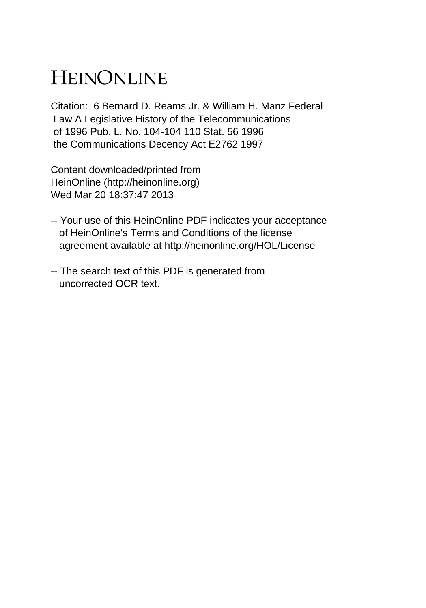# HEINONLINE

Citation: 6 Bernard D. Reams Jr. & William H. Manz Federal Law A Legislative History of the Telecommunications of 1996 Pub. L. No. 104-104 110 Stat. 56 1996 the Communications Decency Act E2762 1997

Content downloaded/printed from HeinOnline (http://heinonline.org) Wed Mar 20 18:37:47 2013

- -- Your use of this HeinOnline PDF indicates your acceptance of HeinOnline's Terms and Conditions of the license agreement available at http://heinonline.org/HOL/License
- -- The search text of this PDF is generated from uncorrected OCR text.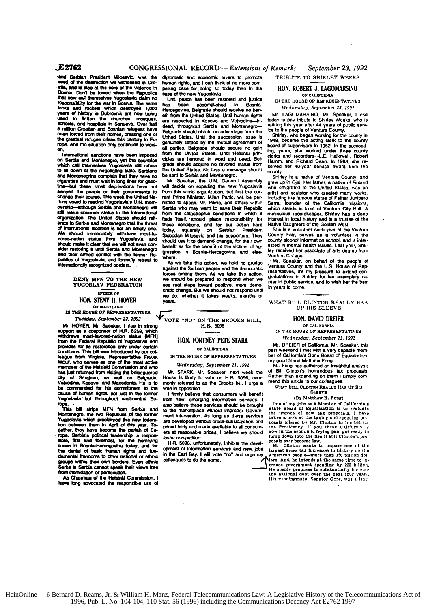and Sarbian President Milosevic, was the diplomatic and economic levers to promote<br>sead of the destruction we witnessed in Cro-human rights, and I can think of no more com-<br>state, and is also at the core of the wolence in years of history in Dubrownik are now being effi from the United States. Until human rights Mr. LAGOMARSINO. Mr. Speaker, 1 rise<br>used to flatten the churches, mosques, are respected in Kosovo and Volvodina-in-<br>schools, and

en, who was studied and they have been imposed from the United States. Belgrade should secure no gain board of supervisors in 1952. In the succession of the United States. Under these county<br>International senctions have be bership—elthough Serbia and Montenegro will Serbia who may want to save their Republic which stands in front of Ventura City Hall. A<br>still retain observer status in the International from the catastrophic conditions in whi erate to Serbia and Montenegro that the threat these conditions, and for our action here. Native Daughters of the Golden West.<br>We should immediately withdraw most-la- Slobodan Milosevic and his supporters. They County Fair

**IN THE HOUSE OF REPRESENTATIVES**<br>Tuesday, September 22, 1992

W. HOYER. Mr. Speaker, I rise in strong<br>
support as a cosponsor of H.R. 5258, which<br>
withdraws most-favored-nation status (MFN)<br>
from the Federal Reoublic of Yugoslavia and<br>
MON, FORTNEY PETE STARK<br>
Wednesday, September 23 mom the research ineutropy under or california. Mr. DREIER of California. Mr. Speaker, this<br>
provides for the strategy and the strategy of the strategy and the strategy of the strategy from Virginia, Representative Frank B Would who serves as one of the most active<br>members of the Helsinki Commission and who Wednesday, September 23, 1992<br>has lust returned from visiting the beleague red Mr. STARK. Mr. Speaker, next week the The interface of the Islam Communication and with STARK. Mr. Speaker, next week the of Bill Clinton's horrendous tax proposity of Sarajevo, as well as Belgrade, House is likely to vote on H.R. 5096, com- Rather than expand **be commended for his commitment to the vote in opposition.** WHAT BILL CLEYTON REALLY **WHAT BILL CLEYTON** REALLY **HAS A CONSIDERAT** cause of human rights, not just in the former **I** I allows that consumers will benefit **SLEEVS**<br>Tupostavia but throughout assistantial Eur from new emerging information environs 1 (By Matthew K. Popg)

gether, they have become the parten of Europe and any and made available to all consum-<br>stable, they have become the parten of Europe at reasonable prices, I believe we should now in the economic frying pan, get really to<br> science in Bosnia-Herosgovina boday, and for exp. M.R. 5096, unfortunately, inhibits the devel-<br>science in Bosnia-Herosgovina boday, and for- opment of information services and new jobs largest gross tax increases in histo

The control of the war in Doshin. The same has been as been restored and justice IN THE HOUSE OF REPRESENTATIVES<br>Trapponsibility for the war in Boshin. The same has been accomplished in Bosnia-<br>Vears of history in Dubrowni

change their course. This week the United Na- rent Prime Minister, Milan Panic, will be per- including the famous statue of Father Junipero<br>Bons voted to rescind Yugoslavia's U.N. mem- mitted to speak. Mr. Panic, and other

bicces among them. As we take this action, resemblatives, it's my pleasure to extend con-<br>DENY MFN TO THE NEW we should be prepared to respond when we gratulatives, it's my pleasure to extern any<br>TUGOSLAY TO THE NEW we tra crabc change. But we should not respond until ersaCt **OP** we do,\* whether It takes weeks, months or

Tuesday, September 22. **1992 VOTE "NO" ON** THE BROOKS **BILL, HON. DAVID DREIER**

House Is likely to vote on H.R. 5096, com-<br>monly referred to as the Brooks bill. I urge a

**Yugoslavia but throughout east-central Eu-** from new, emerging Information services. **I** rope.<br> **Interview and the marketplace without Improper Governmised but a strips MFN from Serbia and to the marketplace without Impro** rope.<br>
This bill strips MFN from Serbia and also believe these services should be brought. One of my lobs as Alember of California's<br>
Montanegro, the two Republics of the former ment intervention. As long as these services

publics of rugoslavia, and formally retreat to as we take this action, we hold no grudge Mr. Speaker, on behalf or the people of<br>Internationally recognized borders. against the Serbian people and the democratic Ventura Cou

HON. STENY H. HOYER we co, where it calls weeks, hidros of WHAT BILL CLINTON REALLY HAS<br>of MARYLAND UP HIS SLEEVE

has a substranded **from a state of Bill Clinton's horrendous lax** proposals.<br>Rather than expanding on them I simply commend this article to our colleagues.

groups within their own borders. Even ethnic colleagues to do the same.<br>
Serbs in Serbia cannot speak their views free<br>
from intensication or persecution.<br>
May have long advocated the responsible use of<br>
have long advocate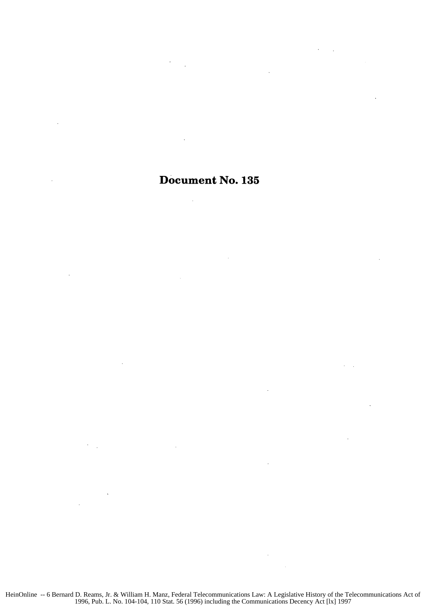## Document No. **135**

 $\sim$ 

 $\sim 10^{-1}$  .

 $\bar{\bar{z}}$ 

 $\bar{z}$ 

÷.

 $\mathcal{A}$ 

 $\mathcal{A}^{\mathcal{A}}$  ,

 $\ddot{\phantom{a}}$ 

 $\sim$